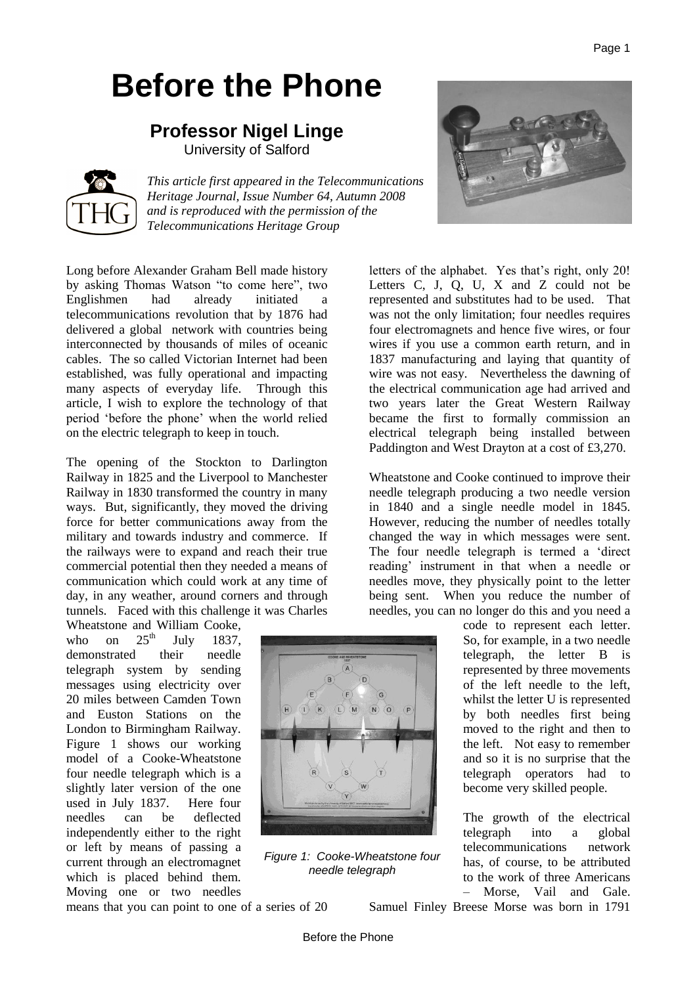# **Before the Phone**

# **Professor Nigel Linge** University of Salford



*This article first appeared in the Telecommunications Heritage Journal, Issue Number 64, Autumn 2008 and is reproduced with the permission of the Telecommunications Heritage Group*

Long before Alexander Graham Bell made history by asking Thomas Watson "to come here", two Englishmen had already initiated a telecommunications revolution that by 1876 had delivered a global network with countries being interconnected by thousands of miles of oceanic cables. The so called Victorian Internet had been established, was fully operational and impacting many aspects of everyday life. Through this article, I wish to explore the technology of that period 'before the phone' when the world relied on the electric telegraph to keep in touch.

The opening of the Stockton to Darlington Railway in 1825 and the Liverpool to Manchester Railway in 1830 transformed the country in many ways. But, significantly, they moved the driving force for better communications away from the military and towards industry and commerce. If the railways were to expand and reach their true commercial potential then they needed a means of communication which could work at any time of day, in any weather, around corners and through tunnels. Faced with this challenge it was Charles

Wheatstone and William Cooke, who on  $25^{th}$  July 1837. demonstrated their needle telegraph system by sending messages using electricity over 20 miles between Camden Town and Euston Stations on the London to Birmingham Railway. Figure 1 shows our working model of a Cooke-Wheatstone four needle telegraph which is a slightly later version of the one used in July 1837. Here four needles can be deflected independently either to the right or left by means of passing a current through an electromagnet which is placed behind them. Moving one or two needles  $\overline{M}$  $\sqrt{N}$  $\overline{0}$ 



letters of the alphabet. Yes that's right, only 20! Letters C, J, Q, U, X and Z could not be represented and substitutes had to be used. That was not the only limitation; four needles requires four electromagnets and hence five wires, or four wires if you use a common earth return, and in 1837 manufacturing and laying that quantity of wire was not easy. Nevertheless the dawning of the electrical communication age had arrived and two years later the Great Western Railway became the first to formally commission an electrical telegraph being installed between Paddington and West Drayton at a cost of £3,270.

Wheatstone and Cooke continued to improve their needle telegraph producing a two needle version in 1840 and a single needle model in 1845. However, reducing the number of needles totally changed the way in which messages were sent. The four needle telegraph is termed a 'direct reading' instrument in that when a needle or needles move, they physically point to the letter being sent. When you reduce the number of needles, you can no longer do this and you need a

> code to represent each letter. So, for example, in a two needle telegraph, the letter B is represented by three movements of the left needle to the left, whilst the letter U is represented by both needles first being moved to the right and then to the left. Not easy to remember and so it is no surprise that the telegraph operators had to become very skilled people.

> The growth of the electrical telegraph into a global telecommunications network has, of course, to be attributed to the work of three Americans – Morse, Vail and Gale.

means that you can point to one of a series of 20

Samuel Finley Breese Morse was born in 1791

*Figure 1: Cooke-Wheatstone four needle telegraph*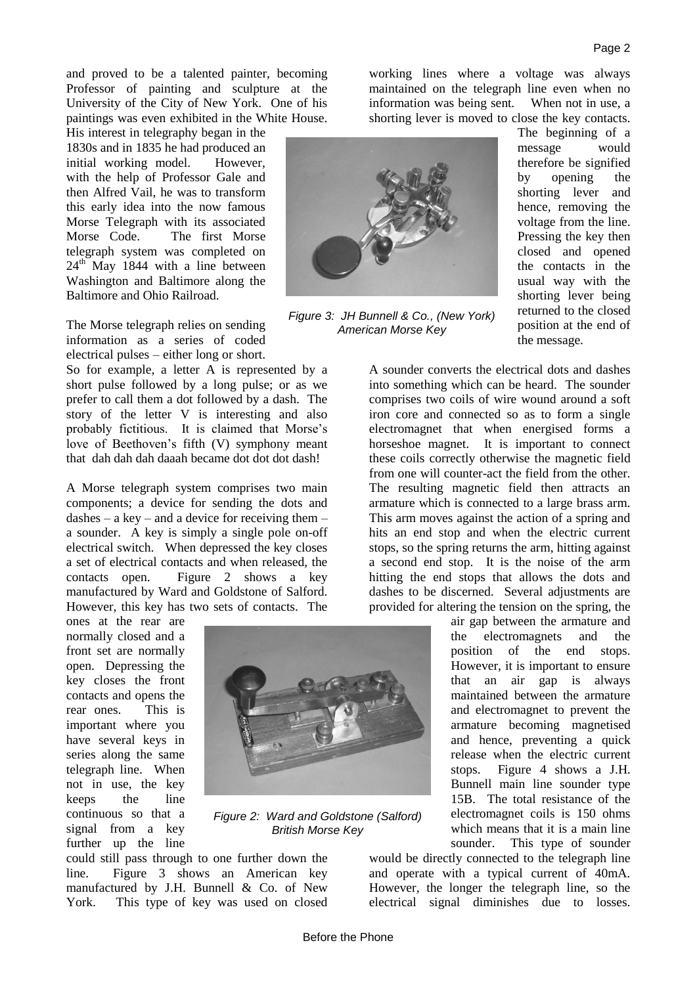and proved to be a talented painter, becoming Professor of painting and sculpture at the University of the City of New York. One of his paintings was even exhibited in the White House.

His interest in telegraphy began in the 1830s and in 1835 he had produced an initial working model. However, with the help of Professor Gale and then Alfred Vail, he was to transform this early idea into the now famous Morse Telegraph with its associated Morse Code. The first Morse telegraph system was completed on  $24<sup>th</sup>$  May 1844 with a line between Washington and Baltimore along the Baltimore and Ohio Railroad.

The Morse telegraph relies on sending information as a series of coded electrical pulses – either long or short.

So for example, a letter A is represented by a short pulse followed by a long pulse; or as we prefer to call them a dot followed by a dash. The story of the letter V is interesting and also probably fictitious. It is claimed that Morse's love of Beethoven's fifth (V) symphony meant that dah dah dah daaah became dot dot dot dash!

A Morse telegraph system comprises two main components; a device for sending the dots and dashes – a key – and a device for receiving them – a sounder. A key is simply a single pole on-off electrical switch. When depressed the key closes a set of electrical contacts and when released, the contacts open. Figure 2 shows a key manufactured by Ward and Goldstone of Salford. However, this key has two sets of contacts. The

ones at the rear are normally closed and a front set are normally open. Depressing the key closes the front contacts and opens the rear ones. This is important where you have several keys in series along the same telegraph line. When not in use, the key keeps the line continuous so that a signal from a key further up the line



*Figure 2: Ward and Goldstone (Salford) British Morse Key*

could still pass through to one further down the line. Figure 3 shows an American key manufactured by J.H. Bunnell & Co. of New York. This type of key was used on closed working lines where a voltage was always maintained on the telegraph line even when no information was being sent. When not in use, a shorting lever is moved to close the key contacts.



*Figure 3: JH Bunnell & Co., (New York) American Morse Key* 

The beginning of a message would therefore be signified by opening the shorting lever and hence, removing the voltage from the line. Pressing the key then closed and opened the contacts in the usual way with the shorting lever being returned to the closed position at the end of the message.

A sounder converts the electrical dots and dashes into something which can be heard. The sounder comprises two coils of wire wound around a soft iron core and connected so as to form a single electromagnet that when energised forms a horseshoe magnet. It is important to connect these coils correctly otherwise the magnetic field from one will counter-act the field from the other. The resulting magnetic field then attracts an armature which is connected to a large brass arm. This arm moves against the action of a spring and hits an end stop and when the electric current stops, so the spring returns the arm, hitting against a second end stop. It is the noise of the arm hitting the end stops that allows the dots and dashes to be discerned. Several adjustments are provided for altering the tension on the spring, the

air gap between the armature and the electromagnets and the position of the end stops. However, it is important to ensure that an air gap is always maintained between the armature and electromagnet to prevent the armature becoming magnetised and hence, preventing a quick release when the electric current stops. Figure 4 shows a J.H. Bunnell main line sounder type 15B. The total resistance of the electromagnet coils is 150 ohms which means that it is a main line sounder. This type of sounder

would be directly connected to the telegraph line and operate with a typical current of 40mA. However, the longer the telegraph line, so the electrical signal diminishes due to losses.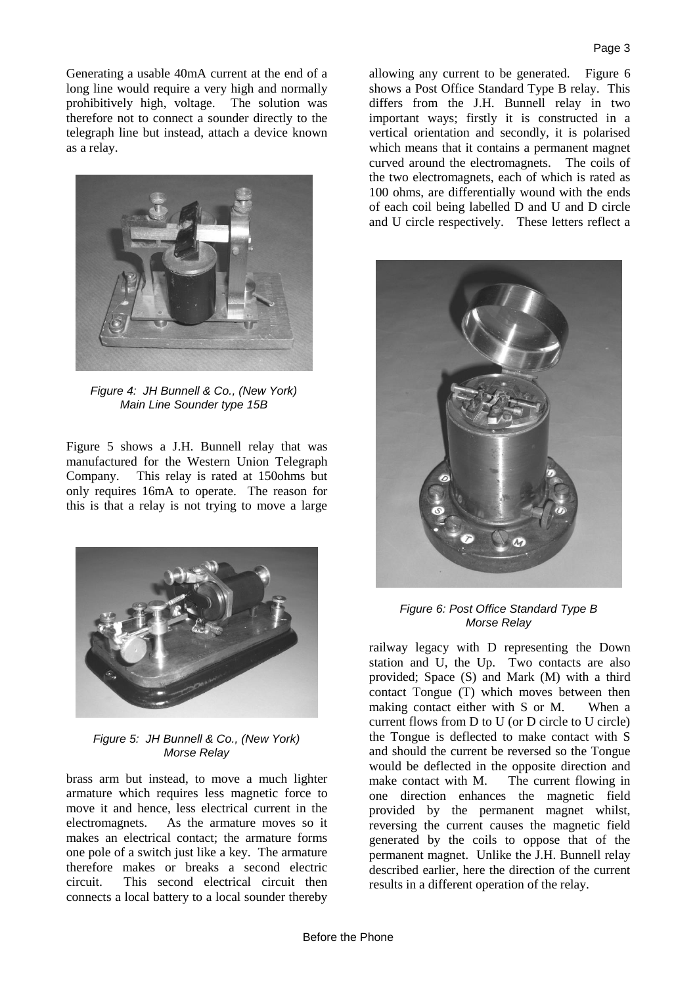Generating a usable 40mA current at the end of a long line would require a very high and normally prohibitively high, voltage. The solution was therefore not to connect a sounder directly to the telegraph line but instead, attach a device known as a relay.



*Figure 4: JH Bunnell & Co., (New York) Main Line Sounder type 15B*

Figure 5 shows a J.H. Bunnell relay that was manufactured for the Western Union Telegraph Company. This relay is rated at 150ohms but only requires 16mA to operate. The reason for this is that a relay is not trying to move a large



*Figure 5: JH Bunnell & Co., (New York) Morse Relay* 

brass arm but instead, to move a much lighter armature which requires less magnetic force to move it and hence, less electrical current in the electromagnets. As the armature moves so it makes an electrical contact; the armature forms one pole of a switch just like a key. The armature therefore makes or breaks a second electric circuit. This second electrical circuit then connects a local battery to a local sounder thereby

allowing any current to be generated. Figure 6 shows a Post Office Standard Type B relay. This differs from the J.H. Bunnell relay in two important ways; firstly it is constructed in a vertical orientation and secondly, it is polarised which means that it contains a permanent magnet curved around the electromagnets. The coils of the two electromagnets, each of which is rated as 100 ohms, are differentially wound with the ends of each coil being labelled D and U and D circle and U circle respectively. These letters reflect a



*Figure 6: Post Office Standard Type B Morse Relay*

railway legacy with D representing the Down station and U, the Up. Two contacts are also provided; Space (S) and Mark (M) with a third contact Tongue (T) which moves between then making contact either with S or M. When a current flows from D to U (or D circle to U circle) the Tongue is deflected to make contact with S and should the current be reversed so the Tongue would be deflected in the opposite direction and make contact with M. The current flowing in one direction enhances the magnetic field provided by the permanent magnet whilst, reversing the current causes the magnetic field generated by the coils to oppose that of the permanent magnet. Unlike the J.H. Bunnell relay described earlier, here the direction of the current results in a different operation of the relay.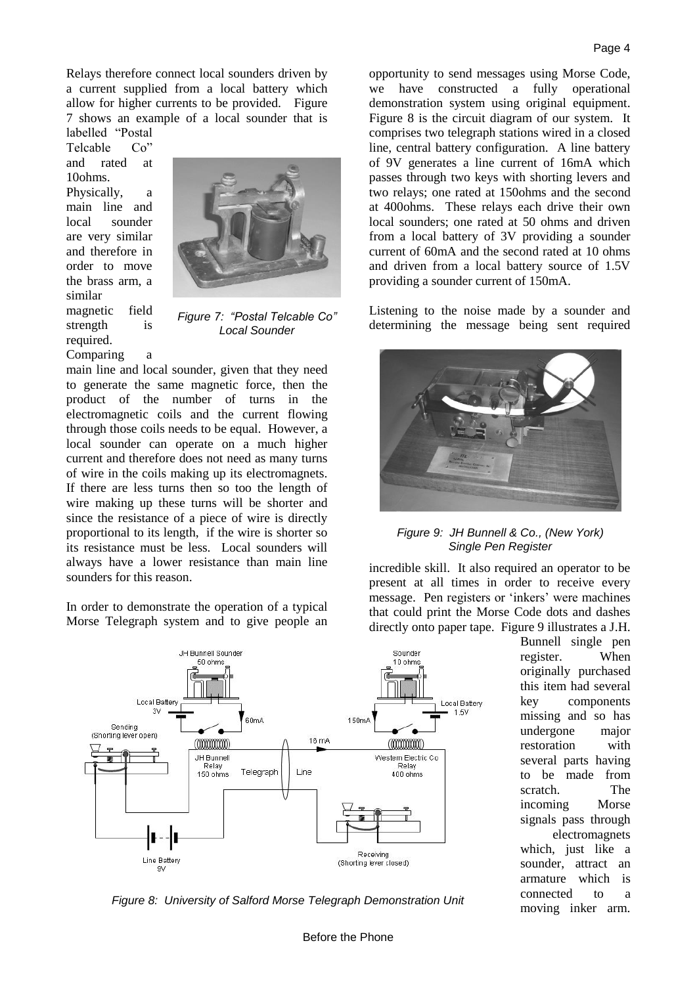Relays therefore connect local sounders driven by a current supplied from a local battery which allow for higher currents to be provided. Figure 7 shows an example of a local sounder that is

labelled "Postal Telcable Co" and rated at 10ohms. Physically, a main line and local sounder are very similar and therefore in order to move the brass arm, a similar magnetic field strength is required.



*Figure 7: "Postal Telcable Co" Local Sounder*

Comparing a main line and local sounder, given that they need to generate the same magnetic force, then the product of the number of turns in the electromagnetic coils and the current flowing through those coils needs to be equal. However, a local sounder can operate on a much higher current and therefore does not need as many turns of wire in the coils making up its electromagnets. If there are less turns then so too the length of wire making up these turns will be shorter and since the resistance of a piece of wire is directly proportional to its length, if the wire is shorter so its resistance must be less. Local sounders will always have a lower resistance than main line sounders for this reason.

In order to demonstrate the operation of a typical Morse Telegraph system and to give people an



opportunity to send messages using Morse Code, we have constructed a fully operational demonstration system using original equipment. Figure 8 is the circuit diagram of our system. It comprises two telegraph stations wired in a closed line, central battery configuration. A line battery of 9V generates a line current of 16mA which passes through two keys with shorting levers and two relays; one rated at 150ohms and the second at 400ohms. These relays each drive their own local sounders; one rated at 50 ohms and driven from a local battery of 3V providing a sounder current of 60mA and the second rated at 10 ohms and driven from a local battery source of 1.5V

Listening to the noise made by a sounder and determining the message being sent required

providing a sounder current of 150mA.



*Figure 9: JH Bunnell & Co., (New York) Single Pen Register*

incredible skill. It also required an operator to be present at all times in order to receive every message. Pen registers or 'inkers' were machines that could print the Morse Code dots and dashes directly onto paper tape. Figure 9 illustrates a J.H.

> Bunnell single pen register. When originally purchased this item had several key components missing and so has undergone major restoration with several parts having to be made from scratch. The incoming Morse signals pass through electromagnets which, just like a sounder, attract an armature which is connected to a

moving inker arm. *Figure 8: University of Salford Morse Telegraph Demonstration Unit*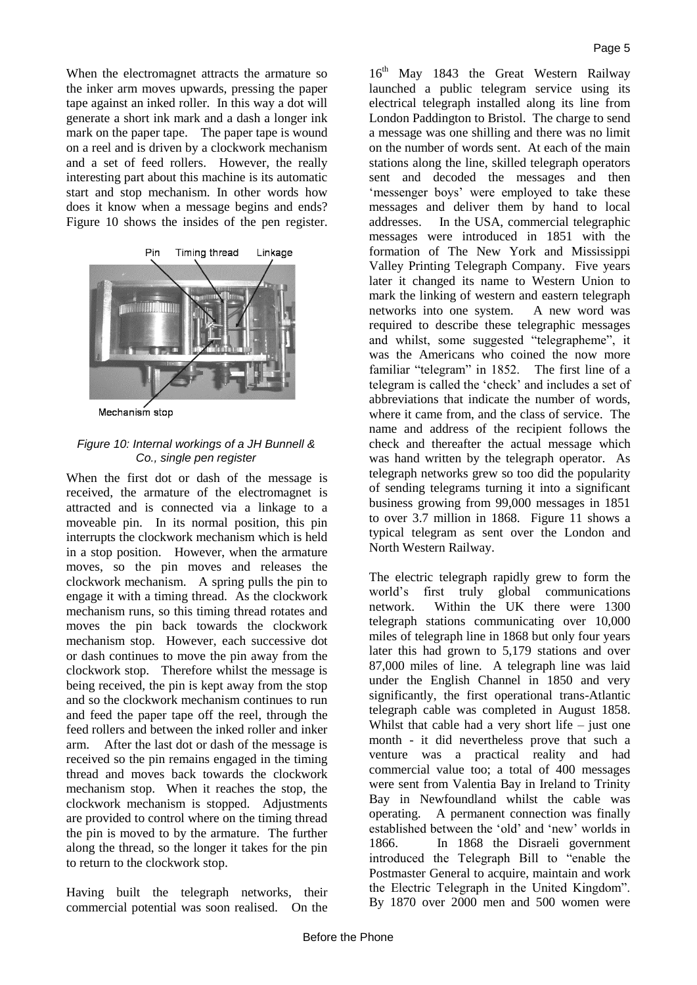When the electromagnet attracts the armature so the inker arm moves upwards, pressing the paper tape against an inked roller. In this way a dot will generate a short ink mark and a dash a longer ink mark on the paper tape. The paper tape is wound on a reel and is driven by a clockwork mechanism and a set of feed rollers. However, the really interesting part about this machine is its automatic start and stop mechanism. In other words how does it know when a message begins and ends? Figure 10 shows the insides of the pen register.



Mechanism stop

## *Figure 10: Internal workings of a JH Bunnell & Co., single pen register*

When the first dot or dash of the message is received, the armature of the electromagnet is attracted and is connected via a linkage to a moveable pin. In its normal position, this pin interrupts the clockwork mechanism which is held in a stop position. However, when the armature moves, so the pin moves and releases the clockwork mechanism. A spring pulls the pin to engage it with a timing thread. As the clockwork mechanism runs, so this timing thread rotates and moves the pin back towards the clockwork mechanism stop. However, each successive dot or dash continues to move the pin away from the clockwork stop. Therefore whilst the message is being received, the pin is kept away from the stop and so the clockwork mechanism continues to run and feed the paper tape off the reel, through the feed rollers and between the inked roller and inker arm. After the last dot or dash of the message is received so the pin remains engaged in the timing thread and moves back towards the clockwork mechanism stop. When it reaches the stop, the clockwork mechanism is stopped. Adjustments are provided to control where on the timing thread the pin is moved to by the armature. The further along the thread, so the longer it takes for the pin to return to the clockwork stop.

Having built the telegraph networks, their commercial potential was soon realised. On the

16<sup>th</sup> May 1843 the Great Western Railway launched a public telegram service using its electrical telegraph installed along its line from London Paddington to Bristol. The charge to send a message was one shilling and there was no limit on the number of words sent. At each of the main stations along the line, skilled telegraph operators sent and decoded the messages and then 'messenger boys' were employed to take these messages and deliver them by hand to local addresses. In the USA, commercial telegraphic messages were introduced in 1851 with the formation of The New York and Mississippi Valley Printing Telegraph Company. Five years later it changed its name to Western Union to mark the linking of western and eastern telegraph networks into one system. A new word was required to describe these telegraphic messages and whilst, some suggested "telegrapheme", it was the Americans who coined the now more familiar "telegram" in 1852. The first line of a telegram is called the 'check' and includes a set of abbreviations that indicate the number of words, where it came from, and the class of service. The name and address of the recipient follows the check and thereafter the actual message which was hand written by the telegraph operator. As telegraph networks grew so too did the popularity of sending telegrams turning it into a significant business growing from 99,000 messages in 1851 to over 3.7 million in 1868. Figure 11 shows a typical telegram as sent over the London and North Western Railway.

The electric telegraph rapidly grew to form the world's first truly global communications network. Within the UK there were 1300 telegraph stations communicating over 10,000 miles of telegraph line in 1868 but only four years later this had grown to 5,179 stations and over 87,000 miles of line. A telegraph line was laid under the English Channel in 1850 and very significantly, the first operational trans-Atlantic telegraph cable was completed in August 1858. Whilst that cable had a very short life  $-$  just one month - it did nevertheless prove that such a venture was a practical reality and had commercial value too; a total of 400 messages were sent from Valentia Bay in Ireland to Trinity Bay in Newfoundland whilst the cable was operating. A permanent connection was finally established between the 'old' and 'new' worlds in 1866. In 1868 the Disraeli government introduced the Telegraph Bill to "enable the Postmaster General to acquire, maintain and work the Electric Telegraph in the United Kingdom". By 1870 over 2000 men and 500 women were